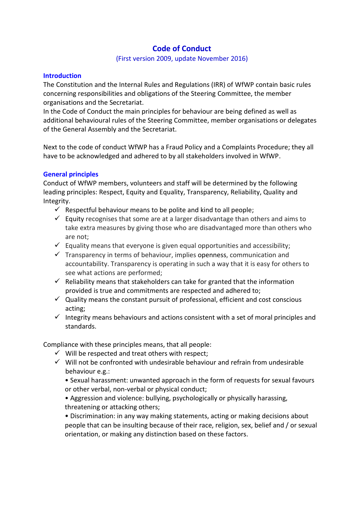# **Code of Conduct**

## (First version 2009, update November 2016)

## **Introduction**

The Constitution and the Internal Rules and Regulations (IRR) of WfWP contain basic rules concerning responsibilities and obligations of the Steering Committee, the member organisations and the Secretariat.

In the Code of Conduct the main principles for behaviour are being defined as well as additional behavioural rules of the Steering Committee, member organisations or delegates of the General Assembly and the Secretariat.

Next to the code of conduct WfWP has a Fraud Policy and a Complaints Procedure; they all have to be acknowledged and adhered to by all stakeholders involved in WfWP.

## **General principles**

Conduct of WfWP members, volunteers and staff will be determined by the following leading principles: Respect, Equity and Equality, Transparency, Reliability, Quality and Integrity.

- $\checkmark$  Respectful behaviour means to be polite and kind to all people;
- $\checkmark$  Equity recognises that some are at a larger disadvantage than others and aims to take extra measures by giving those who are disadvantaged more than others who are not;
- $\checkmark$  Equality means that everyone is given equal opportunities and accessibility;
- $\checkmark$  Transparency in terms of behaviour, implies [openness,](https://en.wikipedia.org/wiki/Openness) communication and accountability. Transparency is operating in such a way that it is easy for others to see what actions are performed;
- $\checkmark$  Reliability means that stakeholders can take for granted that the information provided is true and commitments are respected and adhered to;
- $\checkmark$  Quality means the constant pursuit of professional, efficient and cost conscious acting;
- $\checkmark$  Integrity means behaviours and actions consistent with a set of moral principles and standards.

Compliance with these principles means, that all people:

- $\checkmark$  Will be respected and treat others with respect;
- $\checkmark$  Will not be confronted with undesirable behaviour and refrain from undesirable behaviour e.g.:

• Sexual harassment: unwanted approach in the form of requests for sexual favours or other verbal, non-verbal or physical conduct;

• Aggression and violence: bullying, psychologically or physically harassing, threatening or attacking others;

• Discrimination: in any way making statements, acting or making decisions about people that can be insulting because of their race, religion, sex, belief and / or sexual orientation, or making any distinction based on these factors.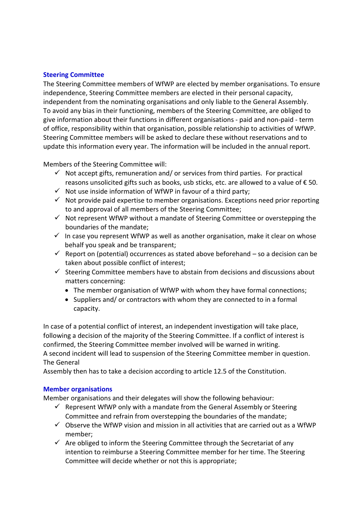## **Steering Committee**

The Steering Committee members of WfWP are elected by member organisations. To ensure independence, Steering Committee members are elected in their personal capacity, independent from the nominating organisations and only liable to the General Assembly. To avoid any bias in their functioning, members of the Steering Committee, are obliged to give information about their functions in different organisations - paid and non-paid - term of office, responsibility within that organisation, possible relationship to activities of WfWP. Steering Committee members will be asked to declare these without reservations and to update this information every year. The information will be included in the annual report.

Members of the Steering Committee will:

- $\checkmark$  Not accept gifts, remuneration and/ or services from third parties. For practical reasons unsolicited gifts such as books, usb sticks, etc. are allowed to a value of  $\epsilon$  50.
- $\checkmark$  Not use inside information of WfWP in favour of a third party;
- $\checkmark$  Not provide paid expertise to member organisations. Exceptions need prior reporting to and approval of all members of the Steering Committee;
- $\checkmark$  Not represent WfWP without a mandate of Steering Committee or overstepping the boundaries of the mandate;
- $\checkmark$  In case you represent WfWP as well as another organisation, make it clear on whose behalf you speak and be transparent;
- $\checkmark$  Report on (potential) occurrences as stated above beforehand so a decision can be taken about possible conflict of interest;
- $\checkmark$  Steering Committee members have to abstain from decisions and discussions about matters concerning:
	- The member organisation of WfWP with whom they have formal connections;
	- $\bullet$  Suppliers and/ or contractors with whom they are connected to in a formal capacity.

In case of a potential conflict of interest, an independent investigation will take place, following a decision of the majority of the Steering Committee. If a conflict of interest is confirmed, the Steering Committee member involved will be warned in writing. A second incident will lead to suspension of the Steering Committee member in question. The General

Assembly then has to take a decision according to article 12.5 of the Constitution.

## **Member organisations**

Member organisations and their delegates will show the following behaviour:

- $\checkmark$  Represent WfWP only with a mandate from the General Assembly or Steering Committee and refrain from overstepping the boundaries of the mandate;
- $\checkmark$  Observe the WfWP vision and mission in all activities that are carried out as a WfWP member;
- $\checkmark$  Are obliged to inform the Steering Committee through the Secretariat of any intention to reimburse a Steering Committee member for her time. The Steering Committee will decide whether or not this is appropriate;